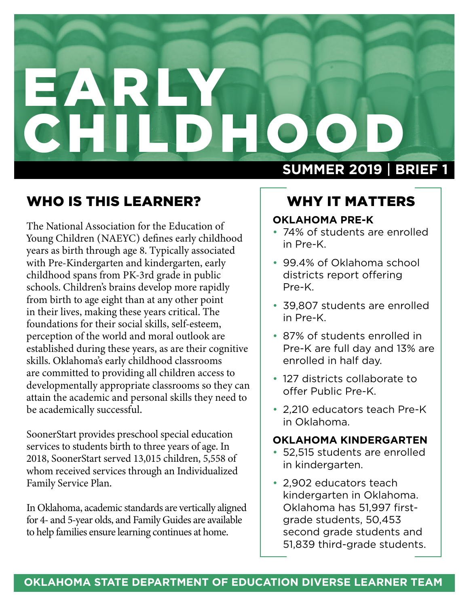# EARLY<br>CHILDH CHILL **SUMMER 2019** | **BRIEF 1**

# WHO IS THIS LEARNER?

The National Association for the Education of Young Children (NAEYC) defines early childhood years as birth through age 8. Typically associated with Pre-Kindergarten and kindergarten, early childhood spans from PK-3rd grade in public schools. Children's brains develop more rapidly from birth to age eight than at any other point in their lives, making these years critical. The foundations for their social skills, self-esteem, perception of the world and moral outlook are established during these years, as are their cognitive skills. Oklahoma's early childhood classrooms are committed to providing all children access to developmentally appropriate classrooms so they can attain the academic and personal skills they need to be academically successful.

SoonerStart provides preschool special education services to students birth to three years of age. In 2018, SoonerStart served 13,015 children, 5,558 of whom received services through an Individualized Family Service Plan.

In Oklahoma, academic standards are vertically aligned for 4- and 5-year olds, and Family Guides are available to help families ensure learning continues at home.

## WHY IT MATTERS

#### **OKLAHOMA PRE-K**

- 74% of students are enrolled in Pre-K.
- 99.4% of Oklahoma school districts report offering Pre-K.
- 39,807 students are enrolled in Pre-K.
- 87% of students enrolled in Pre-K are full day and 13% are enrolled in half day.
- 127 districts collaborate to offer Public Pre-K.
- 2,210 educators teach Pre-K in Oklahoma.

#### **OKLAHOMA KINDERGARTEN**

- 52,515 students are enrolled in kindergarten.
- 2,902 educators teach kindergarten in Oklahoma. Oklahoma has 51,997 firstgrade students, 50,453 second grade students and 51,839 third-grade students.

#### **OKLAHOMA STATE DEPARTMENT OF EDUCATION DIVERSE LEARNER TEAM**